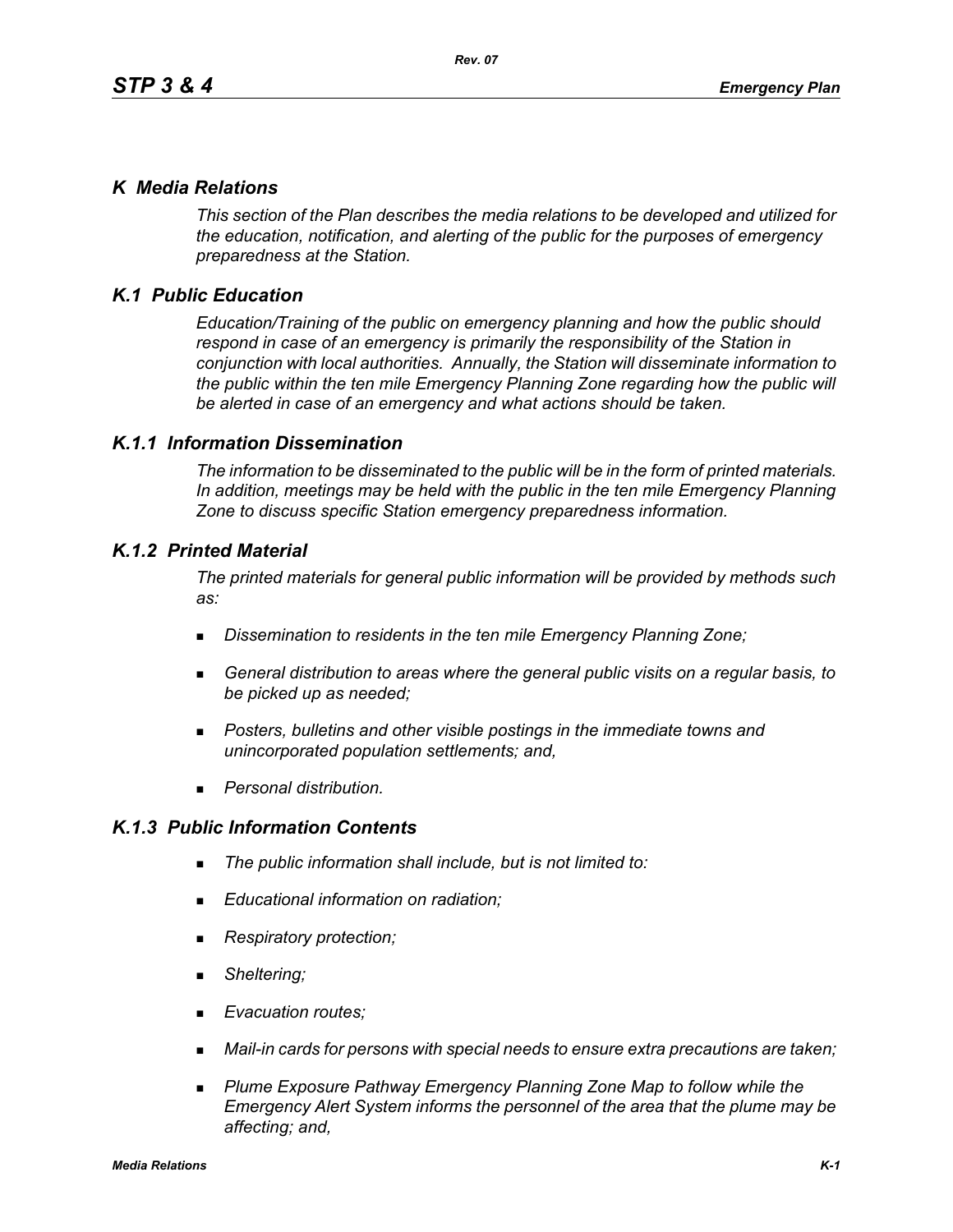## *K Media Relations*

*This section of the Plan describes the media relations to be developed and utilized for the education, notification, and alerting of the public for the purposes of emergency preparedness at the Station.*

# *K.1 Public Education*

*Education/Training of the public on emergency planning and how the public should respond in case of an emergency is primarily the responsibility of the Station in conjunction with local authorities. Annually, the Station will disseminate information to the public within the ten mile Emergency Planning Zone regarding how the public will be alerted in case of an emergency and what actions should be taken.* 

## *K.1.1 Information Dissemination*

*The information to be disseminated to the public will be in the form of printed materials. In addition, meetings may be held with the public in the ten mile Emergency Planning Zone to discuss specific Station emergency preparedness information.* 

## *K.1.2 Printed Material*

*The printed materials for general public information will be provided by methods such as:* 

- *Dissemination to residents in the ten mile Emergency Planning Zone;*
- *General distribution to areas where the general public visits on a regular basis, to be picked up as needed;*
- *Posters, bulletins and other visible postings in the immediate towns and unincorporated population settlements; and,*
- *Personal distribution.*

# *K.1.3 Public Information Contents*

- *The public information shall include, but is not limited to:*
- *Educational information on radiation;*
- *Respiratory protection;*
- *Sheltering;*
- *Evacuation routes;*
- *Mail-in cards for persons with special needs to ensure extra precautions are taken;*
- **Plume Exposure Pathway Emergency Planning Zone Map to follow while the** *Emergency Alert System informs the personnel of the area that the plume may be affecting; and,*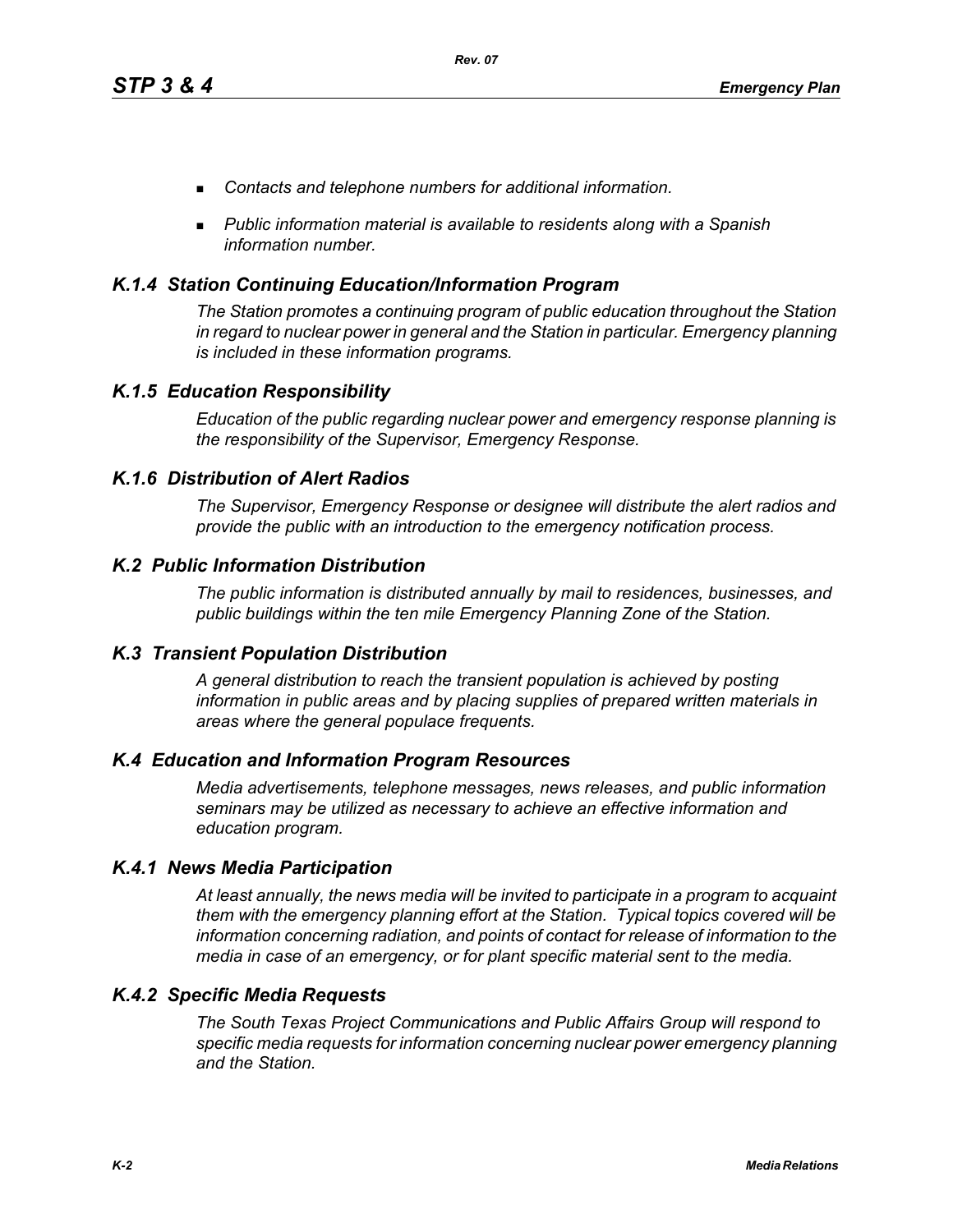- *Contacts and telephone numbers for additional information.*
- *Public information material is available to residents along with a Spanish information number.*

## *K.1.4 Station Continuing Education/Information Program*

*The Station promotes a continuing program of public education throughout the Station in regard to nuclear power in general and the Station in particular. Emergency planning is included in these information programs.* 

## *K.1.5 Education Responsibility*

*Education of the public regarding nuclear power and emergency response planning is the responsibility of the Supervisor, Emergency Response.* 

## *K.1.6 Distribution of Alert Radios*

*The Supervisor, Emergency Response or designee will distribute the alert radios and provide the public with an introduction to the emergency notification process.* 

## *K.2 Public Information Distribution*

*The public information is distributed annually by mail to residences, businesses, and public buildings within the ten mile Emergency Planning Zone of the Station.*

## *K.3 Transient Population Distribution*

*A general distribution to reach the transient population is achieved by posting information in public areas and by placing supplies of prepared written materials in areas where the general populace frequents.* 

## *K.4 Education and Information Program Resources*

*Media advertisements, telephone messages, news releases, and public information seminars may be utilized as necessary to achieve an effective information and education program.* 

## *K.4.1 News Media Participation*

*At least annually, the news media will be invited to participate in a program to acquaint them with the emergency planning effort at the Station. Typical topics covered will be information concerning radiation, and points of contact for release of information to the media in case of an emergency, or for plant specific material sent to the media.*

## *K.4.2 Specific Media Requests*

*The South Texas Project Communications and Public Affairs Group will respond to specific media requests for information concerning nuclear power emergency planning and the Station.*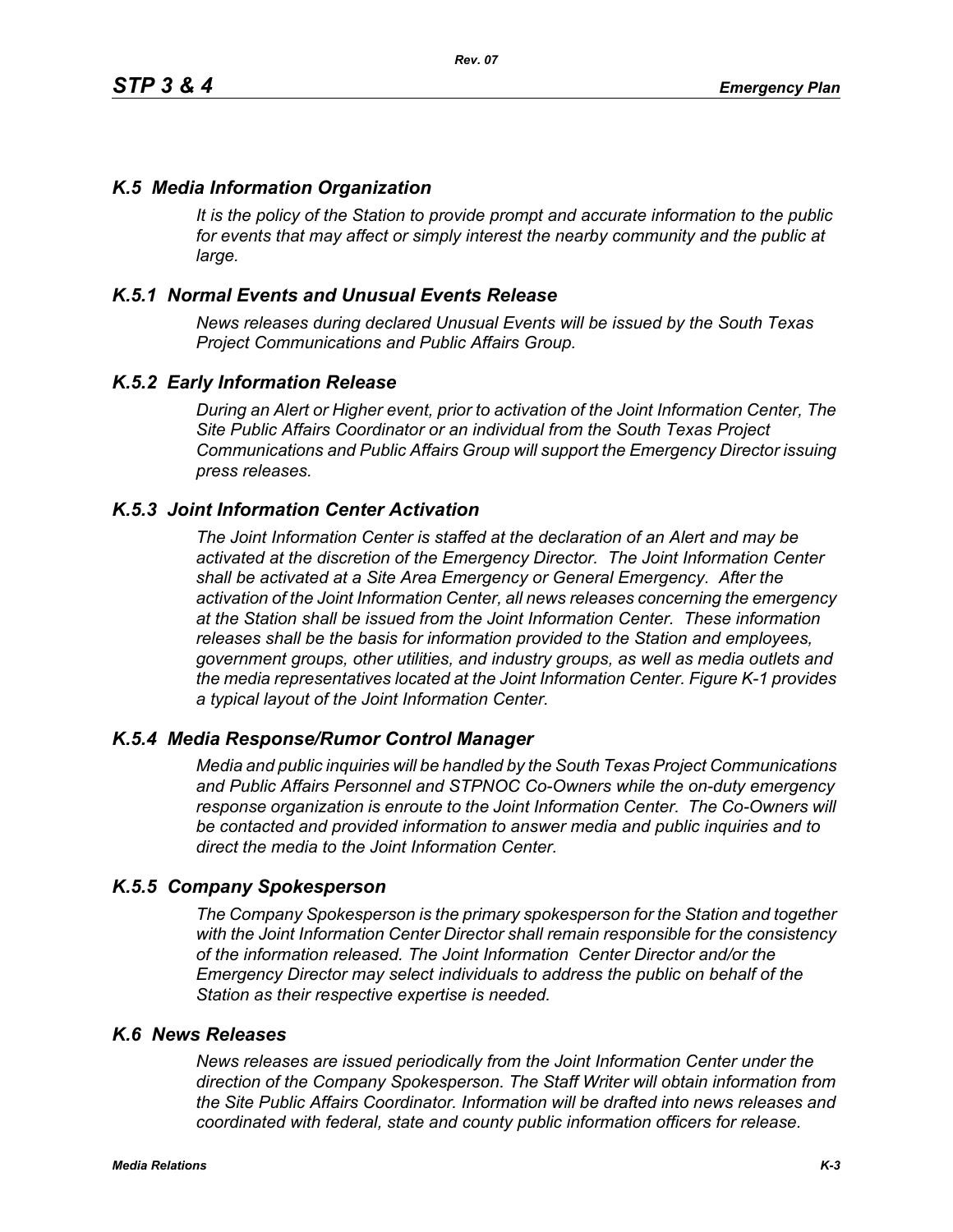## *K.5 Media Information Organization*

*It is the policy of the Station to provide prompt and accurate information to the public*  for events that may affect or simply interest the nearby community and the public at *large.* 

## *K.5.1 Normal Events and Unusual Events Release*

*News releases during declared Unusual Events will be issued by the South Texas Project Communications and Public Affairs Group.* 

## *K.5.2 Early Information Release*

*During an Alert or Higher event, prior to activation of the Joint Information Center, The Site Public Affairs Coordinator or an individual from the South Texas Project Communications and Public Affairs Group will support the Emergency Director issuing press releases.* 

#### *K.5.3 Joint Information Center Activation*

*The Joint Information Center is staffed at the declaration of an Alert and may be activated at the discretion of the Emergency Director. The Joint Information Center shall be activated at a Site Area Emergency or General Emergency. After the activation of the Joint Information Center, all news releases concerning the emergency at the Station shall be issued from the Joint Information Center. These information releases shall be the basis for information provided to the Station and employees, government groups, other utilities, and industry groups, as well as media outlets and the media representatives located at the Joint Information Center. Figure K-1 provides a typical layout of the Joint Information Center.* 

#### *K.5.4 Media Response/Rumor Control Manager*

*Media and public inquiries will be handled by the South Texas Project Communications and Public Affairs Personnel and STPNOC Co-Owners while the on-duty emergency response organization is enroute to the Joint Information Center. The Co-Owners will be contacted and provided information to answer media and public inquiries and to direct the media to the Joint Information Center.*

#### *K.5.5 Company Spokesperson*

*The Company Spokesperson is the primary spokesperson for the Station and together with the Joint Information Center Director shall remain responsible for the consistency of the information released. The Joint Information Center Director and/or the Emergency Director may select individuals to address the public on behalf of the Station as their respective expertise is needed.* 

#### *K.6 News Releases*

*News releases are issued periodically from the Joint Information Center under the direction of the Company Spokesperson. The Staff Writer will obtain information from the Site Public Affairs Coordinator. Information will be drafted into news releases and coordinated with federal, state and county public information officers for release.*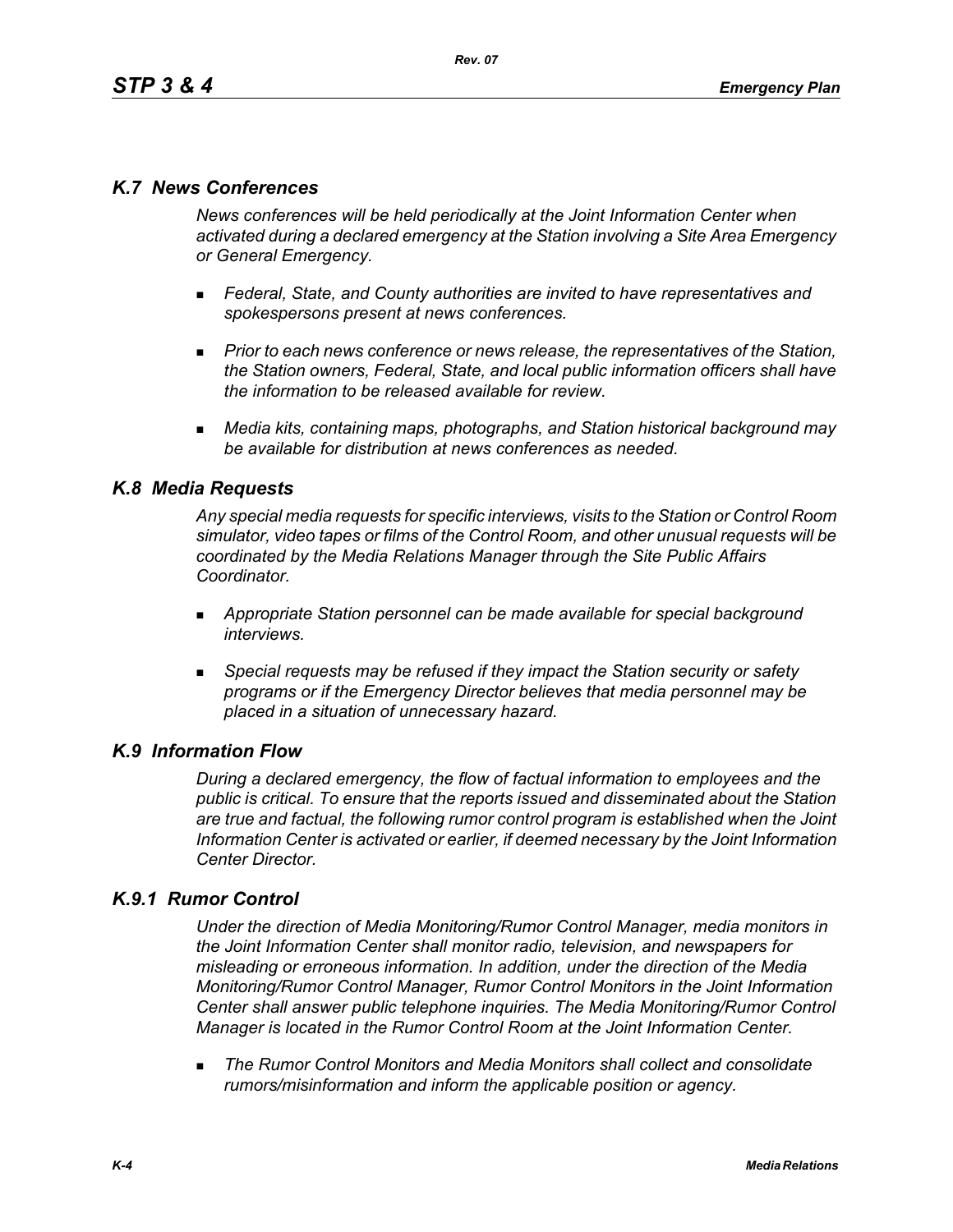# *K.7 News Conferences*

*News conferences will be held periodically at the Joint Information Center when activated during a declared emergency at the Station involving a Site Area Emergency or General Emergency.* 

- *Federal, State, and County authorities are invited to have representatives and spokespersons present at news conferences.*
- **Prior to each news conference or news release, the representatives of the Station,** *the Station owners, Federal, State, and local public information officers shall have the information to be released available for review.*
- *Media kits, containing maps, photographs, and Station historical background may be available for distribution at news conferences as needed.*

## *K.8 Media Requests*

*Any special media requests for specific interviews, visits to the Station or Control Room simulator, video tapes or films of the Control Room, and other unusual requests will be coordinated by the Media Relations Manager through the Site Public Affairs Coordinator.* 

- *Appropriate Station personnel can be made available for special background interviews.*
- *Special requests may be refused if they impact the Station security or safety programs or if the Emergency Director believes that media personnel may be placed in a situation of unnecessary hazard.*

## *K.9 Information Flow*

*During a declared emergency, the flow of factual information to employees and the public is critical. To ensure that the reports issued and disseminated about the Station are true and factual, the following rumor control program is established when the Joint Information Center is activated or earlier, if deemed necessary by the Joint Information Center Director.* 

# *K.9.1 Rumor Control*

*Under the direction of Media Monitoring/Rumor Control Manager, media monitors in the Joint Information Center shall monitor radio, television, and newspapers for misleading or erroneous information. In addition, under the direction of the Media Monitoring/Rumor Control Manager, Rumor Control Monitors in the Joint Information Center shall answer public telephone inquiries. The Media Monitoring/Rumor Control Manager is located in the Rumor Control Room at the Joint Information Center.* 

 *The Rumor Control Monitors and Media Monitors shall collect and consolidate rumors/misinformation and inform the applicable position or agency.*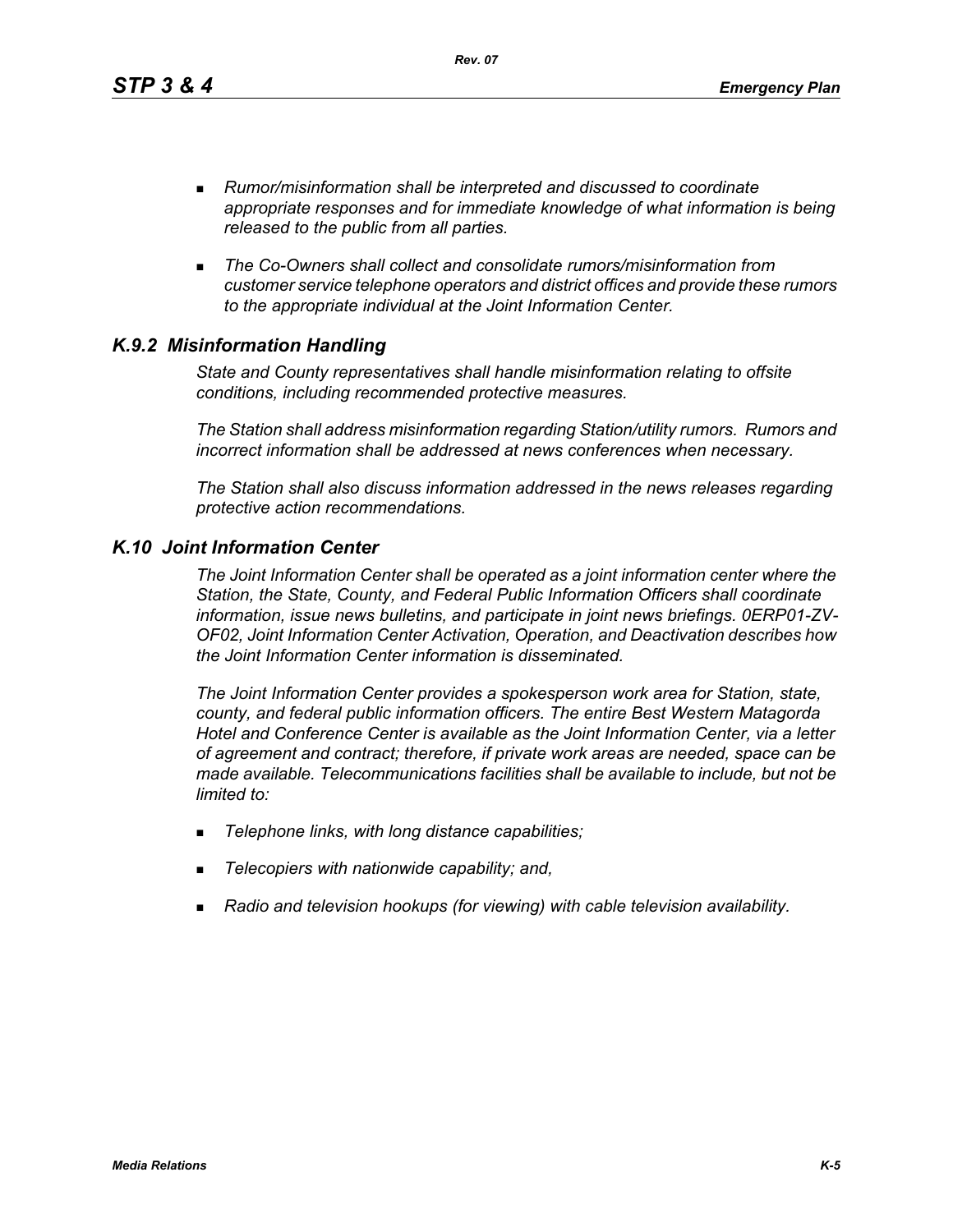*Rev. 07*

- *Rumor/misinformation shall be interpreted and discussed to coordinate appropriate responses and for immediate knowledge of what information is being released to the public from all parties.*
- *The Co-Owners shall collect and consolidate rumors/misinformation from customer service telephone operators and district offices and provide these rumors to the appropriate individual at the Joint Information Center.*

## *K.9.2 Misinformation Handling*

*State and County representatives shall handle misinformation relating to offsite conditions, including recommended protective measures.* 

*The Station shall address misinformation regarding Station/utility rumors. Rumors and incorrect information shall be addressed at news conferences when necessary.* 

*The Station shall also discuss information addressed in the news releases regarding protective action recommendations.* 

## *K.10 Joint Information Center*

*The Joint Information Center shall be operated as a joint information center where the Station, the State, County, and Federal Public Information Officers shall coordinate information, issue news bulletins, and participate in joint news briefings. 0ERP01-ZV-OF02, Joint Information Center Activation, Operation, and Deactivation describes how the Joint Information Center information is disseminated.*

*The Joint Information Center provides a spokesperson work area for Station, state, county, and federal public information officers. The entire Best Western Matagorda Hotel and Conference Center is available as the Joint Information Center, via a letter of agreement and contract; therefore, if private work areas are needed, space can be made available. Telecommunications facilities shall be available to include, but not be limited to:* 

- *Telephone links, with long distance capabilities;*
- *Telecopiers with nationwide capability; and,*
- *Radio and television hookups (for viewing) with cable television availability.*